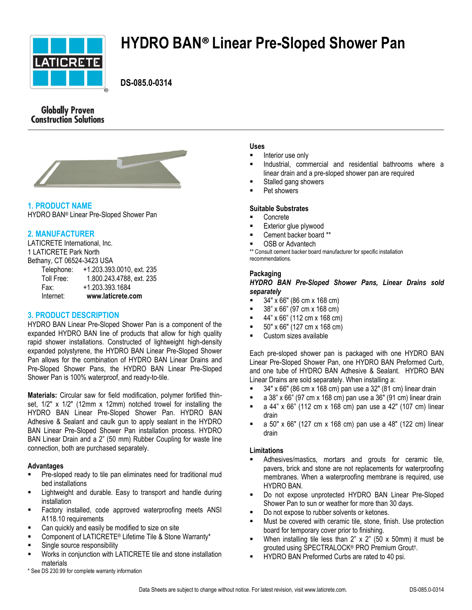

# **HYDRO BAN® Linear Pre-Sloped Shower Pan**

 **DS-085.0-0314**

# **Globally Proven Construction Solutions**



# **1. PRODUCT NAME**

HYDRO BAN® Linear Pre-Sloped Shower Pan

## **2. MANUFACTURER**

LATICRETE International, Inc. 1 LATICRETE Park North Bethany, CT 06524-3423 USA

| Internet:  | www.laticrete.com         |
|------------|---------------------------|
| Fax:       | +1.203.393.1684           |
| Toll Free: | 1.800.243.4788, ext. 235  |
| Telephone: | +1.203.393.0010, ext. 235 |
|            |                           |

## **3. PRODUCT DESCRIPTION**

HYDRO BAN Linear Pre-Sloped Shower Pan is a component of the expanded HYDRO BAN line of products that allow for high quality rapid shower installations. Constructed of lightweight high-density expanded polystyrene, the HYDRO BAN Linear Pre-Sloped Shower Pan allows for the combination of HYDRO BAN Linear Drains and Pre-Sloped Shower Pans, the HYDRO BAN Linear Pre-Sloped Shower Pan is 100% waterproof, and ready-to-tile.

**Materials:** Circular saw for field modification, polymer fortified thinset,  $1/2$ " x  $1/2$ " (12mm x 12mm) notched trowel for installing the HYDRO BAN Linear Pre-Sloped Shower Pan. HYDRO BAN Adhesive & Sealant and caulk gun to apply sealant in the HYDRO BAN Linear Pre-Sloped Shower Pan installation process. HYDRO BAN Linear Drain and a 2" (50 mm) Rubber Coupling for waste line connection, both are purchased separately.

## **Advantages**

- Pre-sloped ready to tile pan eliminates need for traditional mud bed installations
- Lightweight and durable. Easy to transport and handle during installation
- Factory installed, code approved waterproofing meets ANSI A118.10 requirements
- **EXED:** Can quickly and easily be modified to size on site
- Component of LATICRETE® Lifetime Tile & Stone Warranty\*
- Single source responsibility
- Works in conjunction with LATICRETE tile and stone installation materials

#### \* See DS 230.99 for complete warranty information

#### **Uses**

- Interior use only
- Industrial, commercial and residential bathrooms where a linear drain and a pre-sloped shower pan are required
- Stalled gang showers
- Pet showers

#### **Suitable Substrates**

- Concrete
- Exterior glue plywood
- Cement backer board \*\*
- OSB or Advantech

\*\* Consult cement backer board manufacturer for specific installation recommendations.

#### **Packaging**

#### *HYDRO BAN Pre-Sloped Shower Pans, Linear Drains sold separately*

- $= 34" \times 66" (86 cm \times 168 cm)$
- 38" x 66" (97 cm x 168 cm)
- 44" x 66" (112 cm x 168 cm)
- 50" x 66" (127 cm x 168 cm)
- Custom sizes available

Each pre-sloped shower pan is packaged with one HYDRO BAN Linear Pre-Sloped Shower Pan, one HYDRO BAN Preformed Curb, and one tube of HYDRO BAN Adhesive & Sealant. HYDRO BAN Linear Drains are sold separately. When installing a:

- 34" x 66" (86 cm x 168 cm) pan use a 32" (81 cm) linear drain
- a 38" x 66" (97 cm x 168 cm) pan use a 36" (91 cm) linear drain
- a 44" x 66" (112 cm x 168 cm) pan use a 42" (107 cm) linear drain
- **a**  $50''$  x 66" (127 cm x 168 cm) pan use a 48" (122 cm) linear drain

#### **Limitations**

- Adhesives/mastics, mortars and grouts for ceramic tile, pavers, brick and stone are not replacements for waterproofing membranes. When a waterproofing membrane is required, use HYDRO BAN.
- Do not expose unprotected HYDRO BAN Linear Pre-Sloped Shower Pan to sun or weather for more than 30 days.
- Do not expose to rubber solvents or ketones.
- Must be covered with ceramic tile, stone, finish. Use protection board for temporary cover prior to finishing.
- When installing tile less than  $2$ "  $\times$   $2$ " (50  $\times$  50mm) it must be grouted using SPECTRALOCK® PRO Premium Grout† .
- HYDRO BAN Preformed Curbs are rated to 40 psi.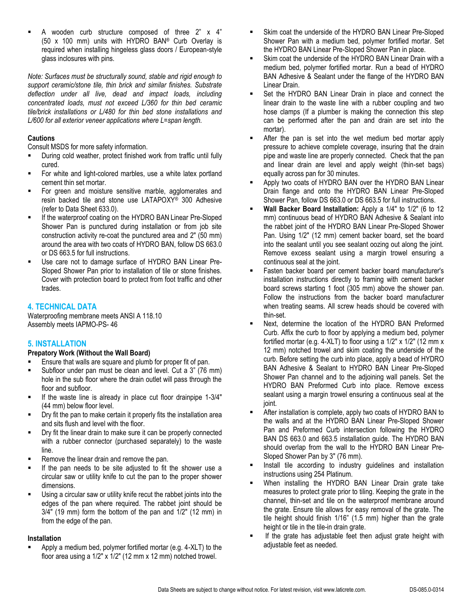A wooden curb structure composed of three 2" x 4" (50 x 100 mm) units with HYDRO BAN® Curb Overlay is required when installing hingeless glass doors / European-style glass inclosures with pins.

*Note: Surfaces must be structurally sound, stable and rigid enough to support ceramic/stone tile, thin brick and similar finishes. Substrate deflection under all live, dead and impact loads, including concentrated loads, must not exceed L/360 for thin bed ceramic tile/brick installations or L/480 for thin bed stone installations and L/600 for all exterior veneer applications where L=span length.* 

## **Cautions**

Consult MSDS for more safety information.

- **-** During cold weather, protect finished work from traffic until fully cured.
- For white and light-colored marbles, use a white latex portland cement thin set mortar.
- For green and moisture sensitive marble, agglomerates and resin backed tile and stone use LATAPOXY® 300 Adhesive (refer to Data Sheet 633.0).
- If the waterproof coating on the HYDRO BAN Linear Pre-Sloped Shower Pan is punctured during installation or from job site construction activity re-coat the punctured area and 2" (50 mm) around the area with two coats of HYDRO BAN, follow DS 663.0 or DS 663.5 for full instructions.
- Use care not to damage surface of HYDRO BAN Linear Pre-Sloped Shower Pan prior to installation of tile or stone finishes. Cover with protection board to protect from foot traffic and other trades.

# **4. TECHNICAL DATA**

Waterproofing membrane meets ANSI A 118.10 Assembly meets IAPMO-PS- 46

# **5. INSTALLATION**

## **Prepatory Work (Without the Wall Board)**

- Ensure that walls are square and plumb for proper fit of pan.
- Subfloor under pan must be clean and level. Cut a 3" (76 mm) hole in the sub floor where the drain outlet will pass through the floor and subfloor.
- If the waste line is already in place cut floor drainpipe 1-3/4" (44 mm) below floor level.
- Dry fit the pan to make certain it properly fits the installation area and sits flush and level with the floor.
- Dry fit the linear drain to make sure it can be properly connected with a rubber connector (purchased separately) to the waste line.
- Remove the linear drain and remove the pan.
- If the pan needs to be site adjusted to fit the shower use a circular saw or utility knife to cut the pan to the proper shower dimensions.
- Using a circular saw or utility knife recut the rabbet joints into the edges of the pan where required. The rabbet joint should be 3/4" (19 mm) form the bottom of the pan and 1/2" (12 mm) in from the edge of the pan.

## **Installation**

 Apply a medium bed, polymer fortified mortar (e.g. 4-XLT) to the floor area using a 1/2" x 1/2" (12 mm x 12 mm) notched trowel.

- Skim coat the underside of the HYDRO BAN Linear Pre-Sloped Shower Pan with a medium bed, polymer fortified mortar. Set the HYDRO BAN Linear Pre-Sloped Shower Pan in place.
- Skim coat the underside of the HYDRO BAN Linear Drain with a medium bed, polymer fortified mortar. Run a bead of HYDRO BAN Adhesive & Sealant under the flange of the HYDRO BAN Linear Drain.
- Set the HYDRO BAN Linear Drain in place and connect the linear drain to the waste line with a rubber coupling and two hose clamps (If a plumber is making the connection this step can be performed after the pan and drain are set into the mortar).
- After the pan is set into the wet medium bed mortar apply pressure to achieve complete coverage, insuring that the drain pipe and waste line are properly connected. Check that the pan and linear drain are level and apply weight (thin-set bags) equally across pan for 30 minutes.
- Apply two coats of HYDRO BAN over the HYDRO BAN Linear Drain flange and onto the HYDRO BAN Linear Pre-Sloped Shower Pan, follow DS 663.0 or DS 663.5 for full instructions.
- **Wall Backer Board Installation:** Apply a 1/4" to 1/2" (6 to 12 mm) continuous bead of HYDRO BAN Adhesive & Sealant into the rabbet joint of the HYDRO BAN Linear Pre-Sloped Shower Pan. Using 1/2" (12 mm) cement backer board, set the board into the sealant until you see sealant oozing out along the joint. Remove excess sealant using a margin trowel ensuring a continuous seal at the joint.
- Fasten backer board per cement backer board manufacturer's installation instructions directly to framing with cement backer board screws starting 1 foot (305 mm) above the shower pan. Follow the instructions from the backer board manufacturer when treating seams. All screw heads should be covered with thin-set.
- Next, determine the location of the HYDRO BAN Preformed Curb. Affix the curb to floor by applying a medium bed, polymer fortified mortar (e.g. 4-XLT) to floor using a  $1/2$ " x  $1/2$ " (12 mm x 12 mm) notched trowel and skim coating the underside of the curb. Before setting the curb into place, apply a bead of HYDRO BAN Adhesive & Sealant to HYDRO BAN Linear Pre-Sloped Shower Pan channel and to the adjoining wall panels. Set the HYDRO BAN Preformed Curb into place. Remove excess sealant using a margin trowel ensuring a continuous seal at the joint.
- After installation is complete, apply two coats of HYDRO BAN to the walls and at the HYDRO BAN Linear Pre-Sloped Shower Pan and Preformed Curb intersection following the HYDRO BAN DS 663.0 and 663.5 installation guide. The HYDRO BAN should overlap from the wall to the HYDRO BAN Linear Pre-Sloped Shower Pan by 3" (76 mm).
- **Install tile according to industry guidelines and installation** instructions using 254 Platinum.
- When installing the HYDRO BAN Linear Drain grate take measures to protect grate prior to tiling. Keeping the grate in the channel, thin-set and tile on the waterproof membrane around the grate. Ensure tile allows for easy removal of the grate. The tile height should finish 1/16" (1.5 mm) higher than the grate height or tile in the tile-in drain grate.
- If the grate has adjustable feet then adjust grate height with adjustable feet as needed.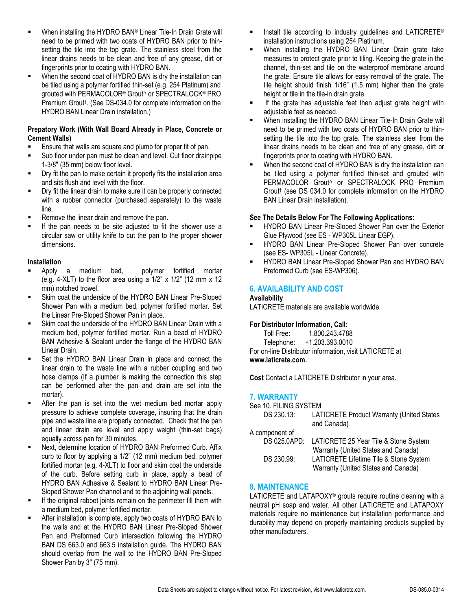- When installing the HYDRO BAN® Linear Tile-In Drain Grate will need to be primed with two coats of HYDRO BAN prior to thinsetting the tile into the top grate. The stainless steel from the linear drains needs to be clean and free of any grease, dirt or fingerprints prior to coating with HYDRO BAN.
- **When the second coat of HYDRO BAN is dry the installation can** be tiled using a polymer fortified thin-set (e.g. 254 Platinum) and grouted with PERMACOLOR® Grout<sup>∆</sup> or SPECTRALOCK® PRO Premium Grout† . (See DS-034.0 for complete information on the HYDRO BAN Linear Drain installation.)

#### **Prepatory Work (With Wall Board Already in Place, Concrete or Cement Walls)**

- Ensure that walls are square and plumb for proper fit of pan.
- Sub floor under pan must be clean and level. Cut floor drainpipe 1-3/8" (35 mm) below floor level.
- Dry fit the pan to make certain it properly fits the installation area and sits flush and level with the floor.
- Dry fit the linear drain to make sure it can be properly connected with a rubber connector (purchased separately) to the waste line.
- Remove the linear drain and remove the pan.
- If the pan needs to be site adjusted to fit the shower use a circular saw or utility knife to cut the pan to the proper shower dimensions.

#### **Installation**

- Apply a medium bed, polymer fortified mortar (e.g. 4-XLT) to the floor area using a 1/2" x 1/2" (12 mm x 12 mm) notched trowel.
- Skim coat the underside of the HYDRO BAN Linear Pre-Sloped Shower Pan with a medium bed, polymer fortified mortar. Set the Linear Pre-Sloped Shower Pan in place.
- Skim coat the underside of the HYDRO BAN Linear Drain with a medium bed, polymer fortified mortar. Run a bead of HYDRO BAN Adhesive & Sealant under the flange of the HYDRO BAN Linear Drain.
- Set the HYDRO BAN Linear Drain in place and connect the linear drain to the waste line with a rubber coupling and two hose clamps (If a plumber is making the connection this step can be performed after the pan and drain are set into the mortar).
- After the pan is set into the wet medium bed mortar apply pressure to achieve complete coverage, insuring that the drain pipe and waste line are properly connected. Check that the pan and linear drain are level and apply weight (thin-set bags) equally across pan for 30 minutes.
- Next, determine location of HYDRO BAN Preformed Curb. Affix curb to floor by applying a 1/2" (12 mm) medium bed, polymer fortified mortar (e.g. 4-XLT) to floor and skim coat the underside of the curb. Before setting curb in place, apply a bead of HYDRO BAN Adhesive & Sealant to HYDRO BAN Linear Pre-Sloped Shower Pan channel and to the adjoining wall panels.
- If the original rabbet joints remain on the perimeter fill them with a medium bed, polymer fortified mortar.
- After installation is complete, apply two coats of HYDRO BAN to the walls and at the HYDRO BAN Linear Pre-Sloped Shower Pan and Preformed Curb intersection following the HYDRO BAN DS 663.0 and 663.5 installation guide. The HYDRO BAN should overlap from the wall to the HYDRO BAN Pre-Sloped Shower Pan by 3" (75 mm).
- **Install tile according to industry guidelines and LATICRETE®** installation instructions using 254 Platinum.
- When installing the HYDRO BAN Linear Drain grate take measures to protect grate prior to tiling. Keeping the grate in the channel, thin-set and tile on the waterproof membrane around the grate. Ensure tile allows for easy removal of the grate. The tile height should finish 1/16" (1.5 mm) higher than the grate height or tile in the tile-in drain grate.
- **If the grate has adjustable feet then adjust grate height with** adjustable feet as needed.
- When installing the HYDRO BAN Linear Tile-In Drain Grate will need to be primed with two coats of HYDRO BAN prior to thinsetting the tile into the top grate. The stainless steel from the linear drains needs to be clean and free of any grease, dirt or fingerprints prior to coating with HYDRO BAN.
- When the second coat of HYDRO BAN is dry the installation can be tiled using a polymer fortified thin-set and grouted with PERMACOLOR Grout<sup>∆</sup> or SPECTRALOCK PRO Premium Grout† (see DS 034.0 for complete information on the HYDRO BAN Linear Drain installation).

# **See The Details Below For The Following Applications:**

- HYDRO BAN Linear Pre-Sloped Shower Pan over the Exterior Glue Plywood (see ES - WP305L Linear EGP).
- HYDRO BAN Linear Pre-Sloped Shower Pan over concrete (see ES- WP305L - Linear Concrete).
- **HYDRO BAN Linear Pre-Sloped Shower Pan and HYDRO BAN** Preformed Curb (see ES-WP306).

# **6. AVAILABILITY AND COST**

#### **Availability**

LATICRETE materials are available worldwide.

#### **For Distributor Information, Call:**

Toll Free: 1.800.243.4788

Telephone: +1.203.393.0010 For on-line Distributor information, visit LATICRETE at **www.laticrete.com.**

**Cost** Contact a LATICRETE Distributor in your area.

# **7. WARRANTY**

| See 10. FILING SYSTEM |                                                                                           |  |
|-----------------------|-------------------------------------------------------------------------------------------|--|
| DS 230.13:            | LATICRETE Product Warranty (United States<br>and Canada)                                  |  |
| A component of        |                                                                                           |  |
|                       | DS 025.0APD: LATICRETE 25 Year Tile & Stone System<br>Warranty (United States and Canada) |  |
| DS 230.99:            | LATICRETE Lifetime Tile & Stone System                                                    |  |
|                       |                                                                                           |  |
|                       | Warranty (United States and Canada)                                                       |  |

## **8. MAINTENANCE**

LATICRETE and LATAPOXY® grouts require routine cleaning with a neutral pH soap and water. All other LATICRETE and LATAPOXY materials require no maintenance but installation performance and durability may depend on properly maintaining products supplied by other manufacturers.